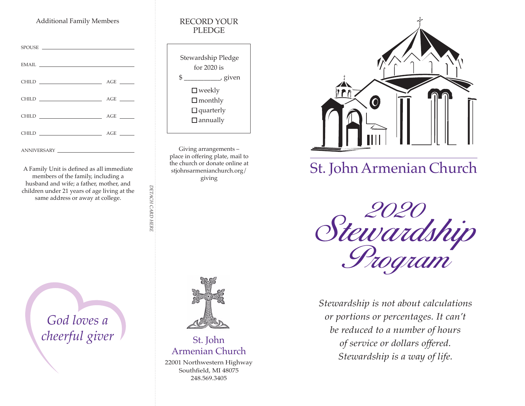# Additional Family Members RECORD YOUR

| $\begin{tabular}{c} 44.44 \end{tabular} \begin{tabular}{l} \hline \textbf{EMAIL} & \textbf{3.13} \\ \hline \end{tabular}$ |     |
|---------------------------------------------------------------------------------------------------------------------------|-----|
|                                                                                                                           |     |
|                                                                                                                           |     |
|                                                                                                                           | AGE |
|                                                                                                                           |     |
|                                                                                                                           |     |

A Family Unit is defined as all immediate members of the family, including a husband and wife; a father, mother, and children under 21 years of age living at the same address or away at college.

> *God loves a cheerful giver*

# PLEDGE



Giving arrangements – place in offering plate, mail to the church or donate online at stjohnsarmenianchurch.org/ giving

*DETACH CARD HERE*

DETACH CARD HERE



# St. John Armenian Church

Southfield, MI 48075 248.569.3405



# St. John Armenian Church

2020 Stewardship Program

*Stewardship is not about calculations or portions or percentages. It can't be reduced to a number of hours of service or dollars offered. Stewardship is a way of life.* 22001 Northwestern Highway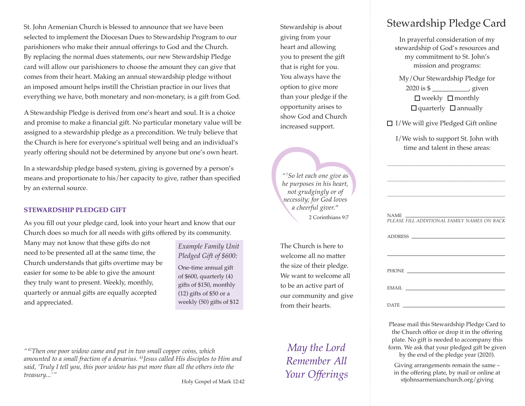St. John Armenian Church is blessed to announce that we have been selected to implement the Diocesan Dues to Stewardship Program to our parishioners who make their annual offerings to God and the Church. By replacing the normal dues statements, our new Stewardship Pledge card will allow our parishioners to choose the amount they can give that comes from their heart. Making an annual stewardship pledge without an imposed amount helps instill the Christian practice in our lives that everything we have, both monetary and non-monetary, is a gift from God.

A Stewardship Pledge is derived from one's heart and soul. It is a choice and promise to make a financial gift. No particular monetary value will be assigned to a stewardship pledge as a precondition. We truly believe that the Church is here for everyone's spiritual well being and an individual's yearly offering should not be determined by anyone but one's own heart.

In a stewardship pledge based system, giving is governed by a person's means and proportionate to his/her capacity to give, rather than specified by an external source.

# **STEWARDSHIP PLEDGED GIFT**

As you fill out your pledge card, look into your heart and know that our Church does so much for all needs with gifts offered by its community.

Many may not know that these gifts do not need to be presented all at the same time, the Church understands that gifts overtime may be easier for some to be able to give the amount they truly want to present. Weekly, monthly, quarterly or annual gifts are equally accepted and appreciated.

*Example Family Unit Pledged Gift of \$600:* One-time annual gift of \$600, quarterly (4) gifts of \$150, monthly (12) gifts of \$50 or a weekly (50) gifts of \$12

Stewardship is about giving from your heart and allowing you to present the gift that is right for you. You always have the option to give more than your pledge if the opportunity arises to show God and Church increased support.

*"7 So let each one give as he purposes in his heart, not grudgingly or of necessity; for God loves a cheerful giver.*" 2 Corinthians 9:7

The Church is here to welcome all no matter the size of their pledge. We want to welcome all to be an active part of our community and give from their hearts.

*May the Lord Remember All* 

*Your Offerings*

DATE Please mail this Stewardship Pledge Card to the Church office or drop it in the offering

plate. No gift is needed to accompany this form. We ask that your pledged gift be given by the end of the pledge year (2020).

Giving arrangements remain the same – in the offering plate, by mail or online at stjohnsarmenianchurch.org/giving

*"42Then one poor widow came and put in two small copper coins, which amounted to a small fraction of a denarius. 43Jesus called His disciples to Him and said, 'Truly I tell you, this poor widow has put more than all the others into the treasury...'"*

Holy Gospel of Mark 12:42

# Stewardship Pledge Card

In prayerful consideration of my stewardship of God's resources and my commitment to St. John's mission and programs:

My/Our Stewardship Pledge for 2020 is \$ \_\_\_\_\_\_\_\_\_\_\_, given  $\Box$  weekly  $\Box$  monthly  $\Box$  quarterly  $\Box$  annually

 $\Box$  I/We will give Pledged Gift online

I/We wish to support St. John with time and talent in these areas:

 $\overline{\phantom{a}}$  , and the set of the set of the set of the set of the set of the set of the set of the set of the set of the set of the set of the set of the set of the set of the set of the set of the set of the set of the s

 $\overline{\phantom{a}}$  , and the set of the set of the set of the set of the set of the set of the set of the set of the set of the set of the set of the set of the set of the set of the set of the set of the set of the set of the s

 $\overline{\phantom{a}}$  , and the set of the set of the set of the set of the set of the set of the set of the set of the set of the set of the set of the set of the set of the set of the set of the set of the set of the set of the s

| PLEASE FILL ADDITIONAL FAMILY NAMES ON BACK                                                                                                                                                                                    |  |
|--------------------------------------------------------------------------------------------------------------------------------------------------------------------------------------------------------------------------------|--|
| ADDRESS                                                                                                                                                                                                                        |  |
| PHONE THE CONTRACT OF THE CONTRACT OF THE CONTRACT OF THE CONTRACT OF THE CONTRACT OF THE CONTRACT OF THE CONTRACT OF THE CONTRACT OF THE CONTRACT OF THE CONTRACT OF THE CONTRACT OF THE CONTRACT OF THE CONTRACT OF THE CONT |  |
| EMAIL.                                                                                                                                                                                                                         |  |
| date                                                                                                                                                                                                                           |  |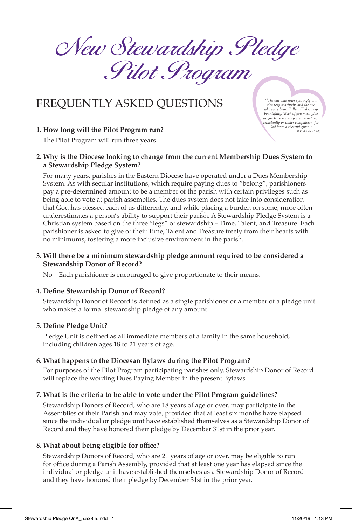New Stewardship Pledge Pilot Program

# FREQUENTLY ASKED QUESTIONS *"6*

# **1. How long will the Pilot Program run?** (2 Cod loves a cheerful giver. "

The Pilot Program will run three years.

## **2. Why is the Diocese looking to change from the current Membership Dues System to a Stewardship Pledge System?**

 For many years, parishes in the Eastern Diocese have operated under a Dues Membership System. As with secular institutions, which require paying dues to "belong", parishioners pay a pre-determined amount to be a member of the parish with certain privileges such as being able to vote at parish assemblies. The dues system does not take into consideration that God has blessed each of us differently, and while placing a burden on some, more often underestimates a person's ability to support their parish. A Stewardship Pledge System is a Christian system based on the three "legs" of stewardship – Time, Talent, and Treasure. Each parishioner is asked to give of their Time, Talent and Treasure freely from their hearts with no minimums, fostering a more inclusive environment in the parish.

### **3. Will there be a minimum stewardship pledge amount required to be considered a Stewardship Donor of Record?**

No – Each parishioner is encouraged to give proportionate to their means.

#### **4. Define Stewardship Donor of Record?**

 Stewardship Donor of Record is defined as a single parishioner or a member of a pledge unit who makes a formal stewardship pledge of any amount.

#### **5. Define Pledge Unit?**

 Pledge Unit is defined as all immediate members of a family in the same household, including children ages 18 to 21 years of age.

#### **6. What happens to the Diocesan Bylaws during the Pilot Program?**

 For purposes of the Pilot Program participating parishes only, Stewardship Donor of Record will replace the wording Dues Paying Member in the present Bylaws.

#### **7. What is the criteria to be able to vote under the Pilot Program guidelines?**

 Stewardship Donors of Record, who are 18 years of age or over, may participate in the Assemblies of their Parish and may vote, provided that at least six months have elapsed since the individual or pledge unit have established themselves as a Stewardship Donor of Record and they have honored their pledge by December 31st in the prior year.

#### **8. What about being eligible for office?**

 Stewardship Donors of Record, who are 21 years of age or over, may be eligible to run for office during a Parish Assembly, provided that at least one year has elapsed since the individual or pledge unit have established themselves as a Stewardship Donor of Record and they have honored their pledge by December 31st in the prior year.

*The one who sows sparingly will also reap sparingly, and the one who sows bountifully will also reap bountifully. 7 Each of you must give as you have made up your mind, not reluctantly or under compulsion, for*